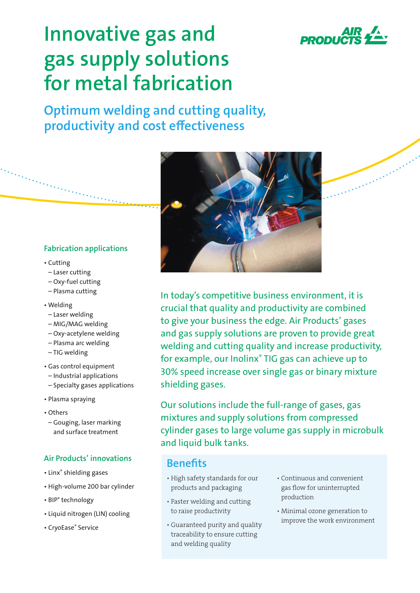

a Barance Care

# **Innovative gas and gas supply solutions for metal fabrication**

**Optimum welding and cutting quality, productivity and cost effectiveness**

#### **Fabrication applications**

- Cutting
- Laser cutting
- Oxy-fuel cutting
- Plasma cutting
- Welding
- Laser welding
- MIG/MAG welding
- Oxy-acetylene welding
- Plasma arc welding
- TIG welding
- Gas control equipment
- Industrial applications
- Specialty gases applications
- Plasma spraying
- Others
- Gouging, laser marking and surface treatment

### **Air Products' innovations**

- Linx® shielding gases
- High-volume 200 bar cylinder
- BIP® technology
- Liquid nitrogen (LIN) cooling
- CryoEase® Service



In today's competitive business environment, it is crucial that quality and productivity are combined to give your business the edge. Air Products' gases and gas supply solutions are proven to provide great welding and cutting quality and increase productivity, for example, our Inolinx® TIG gas can achieve up to 30% speed increase over single gas or binary mixture shielding gases.

Our solutions include the full-range of gases, gas mixtures and supply solutions from compressed cylinder gases to large volume gas supply in microbulk and liquid bulk tanks.

## **Benefits**

- High safety standards for our products and packaging
- Faster welding and cutting to raise productivity
- Guaranteed purity and quality traceability to ensure cutting and welding quality
- Continuous and convenient gas flow for uninterrupted production
- Minimal ozone generation to improve the work environment